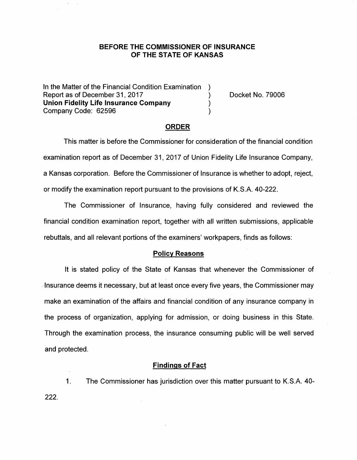## **BEFORE THE COMMISSIONER OF INSURANCE OF THE STATE OF KANSAS**

In the Matter of the Financial Condition Examination Report as of December 31, 2017 (and the contract the Docket No. 79006) **Union Fidelity Life Insurance Company** ) Company Code: 62596 )

### **ORDER**

This matter is before the Commissioner for consideration of the financial condition examination report as of December 31, 2017 of Union Fidelity Life Insurance Company, a Kansas corporation. Before the Commissioner of Insurance is whether to adopt, reject, or modify the examination report pursuant to the provisions of K.S.A. 40-222.

The Commissioner of Insurance, having fully considered and reviewed the financial condition examination report, together with all written submissions, applicable rebuttals, and all relevant portions of the examiners' workpapers, finds as follows:

#### **Policy Reasons**

It is stated policy of the State of Kansas that whenever the Commissioner of /Insurance deems it necessary, but at least once every five years, the Commissioner may make an examination of the affairs and financial condition of any insurance company in the process of organization, applying for admission, or doing business in this State. Through the examination process, the insurance consuming public will be well served and protected.

#### **Findings of Fact**

1. The Commissioner has jurisdiction over this matter pursuant to K.S.A. 40- **222.**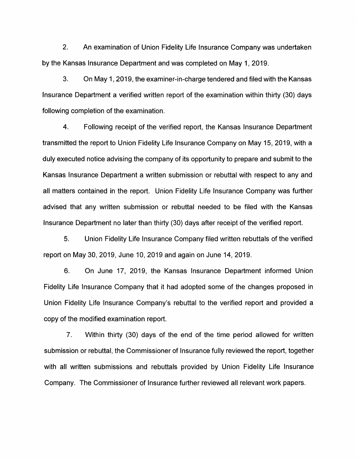2. An examination of Union Fidelity Life Insurance Company was undertaken by the Kansas Insurance Department and was completed on May 1, 2019.

3. On May 1, 2019, the examiner-in-charge tendered and filed with the Kansas Insurance Department a verified written report of the examination within thirty (30) days following completion of the examination.

4. Following receipt of the verified report, the Kansas Insurance Department transmitted the report to Union Fidelity Life Insurance Company on May 15, 2019, with a duly executed notice advising the company of its opportunity to prepare and submit to the Kansas Insurance Department a written submission or rebuttal with respect to any and all matters contained in the report. Union Fidelity Life Insurance Company was further advised that any written submission or rebuttal needed to be filed with the Kansas Insurance Department no later than thirty (30) days after receipt of the verified report.

5. Union Fidelity Life Insurance Company filed written rebuttals of the verified report on May 30, 2019, June 10, 2019 and again on June 14, 2019.

6. On June 17, 2019, the Kansas Insurance Department informed Union Fidelity Life Insurance Company that it had adopted some of the changes proposed in Union Fidelity Life Insurance Company's rebuttal to the verified report and provided a copy of the modified examination report.

7. Within thirty (30) days of the end of the time period allowed for written submission or rebuttal, the Commissioner of Insurance fully reviewed the report, together with all written submissions and rebuttals provided by Union Fidelity Life Insurance Company. The Commissioner of Insurance further reviewed all relevant work papers.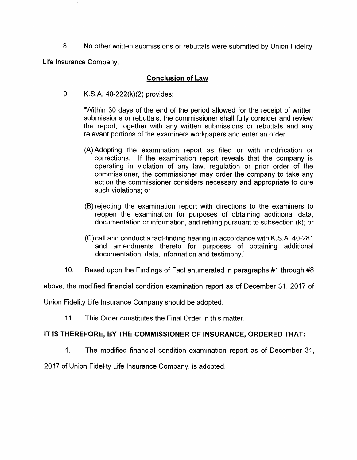8. No other written submissions or rebuttals were submitted by Union Fidelity

Life Insurance Company.

## **Conclusion of Law**

9. K.S.A. 40-222(k)(2) provides:

"Within 30 days of the end of the period allowed for the receipt of written submissions or rebuttals, the commissioner shall fully consider and review the report, together with any written submissions or rebuttals and any relevant portions of the examiners workpapers and enter an order:

- (A) Adopting the examination report as filed or with modification or corrections. If the examination report reveals that the company is operating in violation of any law, regulation or prior order of the commissioner, the commissioner may order the company to take any action the commissioner considers necessary and appropriate to cure such violations; or
- (B) rejecting the examination report with directions to the examiners to reopen the examination for purposes of obtaining additional data, documentation or information, and refiling pursuant to subsection (k); or
- (C) call and conduct a fact-finding hearing in accordance with K.S.A. 40-281 and amendments thereto for purposes of obtaining additional documentation, data, information and testimony."
- 10. Based upon the Findings of Fact enumerated in paragraphs #1 through #8

above, the modified financial condition examination report as of December 31, 2017 of

Union Fidelity Life Insurance Company should be adopted.

11. This Order constitutes the Final Order in this matter.

# **IT IS THEREFORE, BY THE COMMISSIONER OF INSURANCE, ORDERED THAT:**

1. The modified financial condition examination report as of December 31,

2017 of Union Fidelity Life Insurance Company, is adopted.